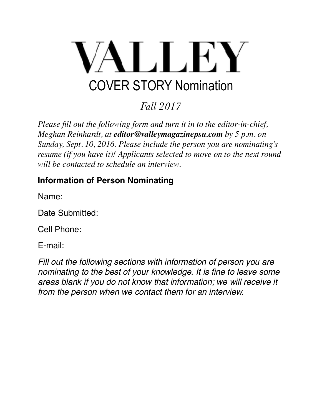

*Fall 2017*

*Please fill out the following form and turn it in to the editor-in-chief, Meghan Reinhardt, at editor@valleymagazinepsu.com by 5 p.m. on Sunday, Sept. 10, 2016. Please include the person you are nominating's resume (if you have it)! Applicants selected to move on to the next round will be contacted to schedule an interview.* 

## **Information of Person Nominating**

Name:

Date Submitted:

Cell Phone:

E-mail:

*Fill out the following sections with information of person you are nominating to the best of your knowledge. It is fine to leave some areas blank if you do not know that information; we will receive it from the person when we contact them for an interview.*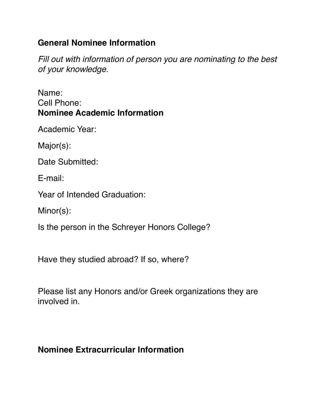## **General Nominee Information**

*Fill out with information of person you are nominating to the best of your knowledge.* 

Name: Cell Phone: **Nominee Academic Information** 

Academic Year:

Major(s):

Date Submitted:

E-mail:

Year of Intended Graduation:

Minor(s):

Is the person in the Schreyer Honors College?

Have they studied abroad? If so, where?

Please list any Honors and/or Greek organizations they are involved in.

## **Nominee Extracurricular Information**